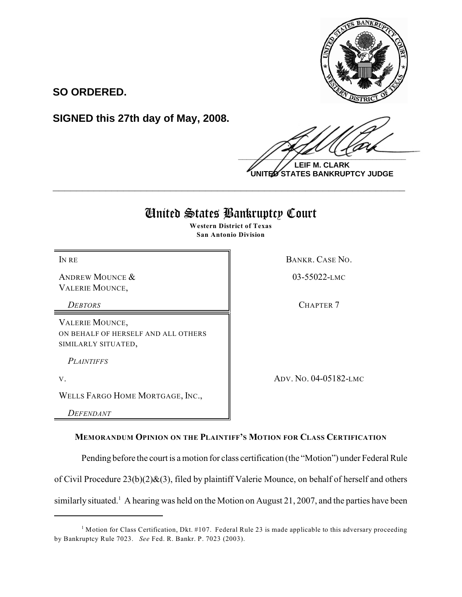

**SO ORDERED.**

**SIGNED this 27th day of May, 2008.**

 $\frac{1}{2}$ 

**LEIF M. CLARK UNITED STATES BANKRUPTCY JUDGE**

# United States Bankruptcy Court

**\_\_\_\_\_\_\_\_\_\_\_\_\_\_\_\_\_\_\_\_\_\_\_\_\_\_\_\_\_\_\_\_\_\_\_\_\_\_\_\_\_\_\_\_\_\_\_\_\_\_\_\_\_\_\_\_\_\_\_\_**

**Western District of Texas San Antonio Division**

IN RECONSTRUCTED BANKR, CASE NO.

ANDREW MOUNCE & VALERIE MOUNCE,

*DEBTORS* CHAPTER 7

VALERIE MOUNCE, ON BEHALF OF HERSELF AND ALL OTHERS SIMILARLY SITUATED,

*PLAINTIFFS* 

WELLS FARGO HOME MORTGAGE, INC.,

*DEFENDANT*

V. ADV. NO. 04-05182-LMC

03-55022-LMC

**MEMORANDUM OPINION ON THE PLAINTIFF'S MOTION FOR CLASS CERTIFICATION**

Pending before the court is a motion for class certification (the "Motion") under Federal Rule

of Civil Procedure 23(b)(2)&(3), filed by plaintiff Valerie Mounce, on behalf of herself and others

similarly situated.<sup>1</sup> A hearing was held on the Motion on August 21, 2007, and the parties have been

 $1$  Motion for Class Certification, Dkt. #107. Federal Rule 23 is made applicable to this adversary proceeding by Bankruptcy Rule 7023. *See* Fed. R. Bankr. P. 7023 (2003).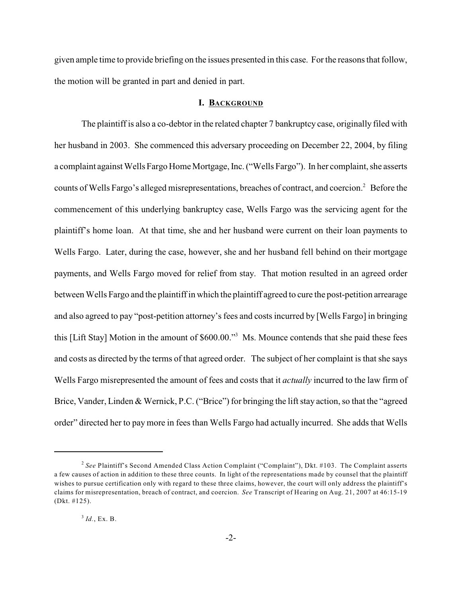given ample time to provide briefing on the issues presented in this case. Forthe reasons that follow, the motion will be granted in part and denied in part.

### **I. BACKGROUND**

The plaintiff is also a co-debtor in the related chapter 7 bankruptcy case, originally filed with her husband in 2003. She commenced this adversary proceeding on December 22, 2004, by filing a complaint against Wells Fargo Home Mortgage, Inc. ("Wells Fargo"). In her complaint, she asserts counts of Wells Fargo's alleged misrepresentations, breaches of contract, and coercion.<sup>2</sup> Before the commencement of this underlying bankruptcy case, Wells Fargo was the servicing agent for the plaintiff's home loan. At that time, she and her husband were current on their loan payments to Wells Fargo. Later, during the case, however, she and her husband fell behind on their mortgage payments, and Wells Fargo moved for relief from stay. That motion resulted in an agreed order between Wells Fargo and the plaintiff in which the plaintiff agreed to cure the post-petition arrearage and also agreed to pay "post-petition attorney's fees and costs incurred by [Wells Fargo] in bringing this [Lift Stay] Motion in the amount of \$600.00."<sup>3</sup> Ms. Mounce contends that she paid these fees and costs as directed by the terms of that agreed order. The subject of her complaint is that she says Wells Fargo misrepresented the amount of fees and costs that it *actually* incurred to the law firm of Brice, Vander, Linden & Wernick, P.C. ("Brice") for bringing the lift stay action, so that the "agreed order" directed her to pay more in fees than Wells Fargo had actually incurred. She adds that Wells

<sup>&</sup>lt;sup>2</sup> See Plaintiff's Second Amended Class Action Complaint ("Complaint"), Dkt. #103. The Complaint asserts a few causes of action in addition to these three counts. In light of the representations made by counsel that the plaintiff wishes to pursue certification only with regard to these three claims, however, the court will only address the plaintiff's claims for misrepresentation, breach of contract, and coercion. *See* Transcript of Hearing on Aug. 21, 2007 at 46:15-19 (Dkt. #125).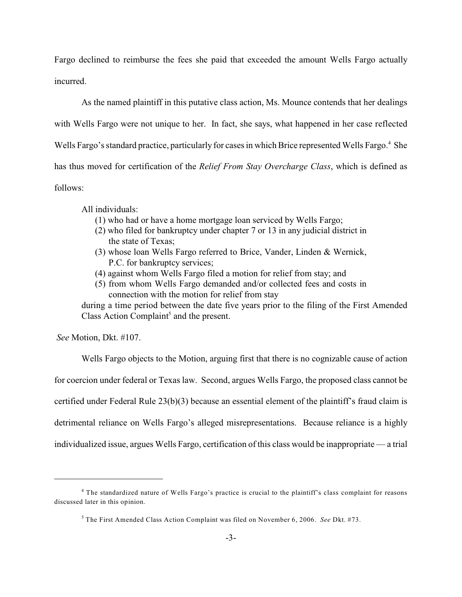Fargo declined to reimburse the fees she paid that exceeded the amount Wells Fargo actually incurred.

As the named plaintiff in this putative class action, Ms. Mounce contends that her dealings with Wells Fargo were not unique to her. In fact, she says, what happened in her case reflected Wells Fargo's standard practice, particularly for cases in which Brice represented Wells Fargo.<sup>4</sup> She has thus moved for certification of the *Relief From Stay Overcharge Class*, which is defined as follows:

All individuals:

- (1) who had or have a home mortgage loan serviced by Wells Fargo;
- (2) who filed for bankruptcy under chapter 7 or 13 in any judicial district in the state of Texas;
- (3) whose loan Wells Fargo referred to Brice, Vander, Linden & Wernick, P.C. for bankruptcy services;
- (4) against whom Wells Fargo filed a motion for relief from stay; and
- (5) from whom Wells Fargo demanded and/or collected fees and costs in connection with the motion for relief from stay

during a time period between the date five years prior to the filing of the First Amended Class Action Complaint<sup>5</sup> and the present.

*See* Motion, Dkt. #107.

Wells Fargo objects to the Motion, arguing first that there is no cognizable cause of action for coercion under federal or Texas law. Second, argues Wells Fargo, the proposed class cannot be certified under Federal Rule 23(b)(3) because an essential element of the plaintiff's fraud claim is detrimental reliance on Wells Fargo's alleged misrepresentations. Because reliance is a highly individualized issue, argues Wells Fargo, certification of this class would be inappropriate — a trial

<sup>&</sup>lt;sup>4</sup> The standardized nature of Wells Fargo's practice is crucial to the plaintiff's class complaint for reasons discussed later in this opinion.

The First Amended Class Action Complaint was filed on November 6, 2006. *See* Dkt. #73. <sup>5</sup>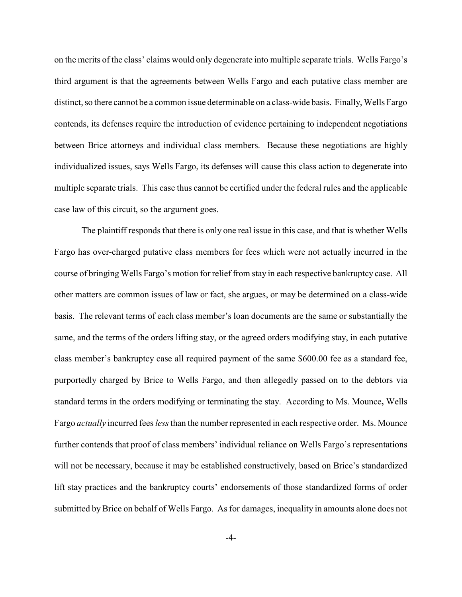on the merits of the class' claims would only degenerate into multiple separate trials. Wells Fargo's third argument is that the agreements between Wells Fargo and each putative class member are distinct, so there cannot be a common issue determinable on a class-wide basis. Finally, Wells Fargo contends, its defenses require the introduction of evidence pertaining to independent negotiations between Brice attorneys and individual class members. Because these negotiations are highly individualized issues, says Wells Fargo, its defenses will cause this class action to degenerate into multiple separate trials. This case thus cannot be certified under the federal rules and the applicable case law of this circuit, so the argument goes.

The plaintiff responds that there is only one real issue in this case, and that is whether Wells Fargo has over-charged putative class members for fees which were not actually incurred in the course of bringing Wells Fargo's motion forrelief from stay in each respective bankruptcy case. All other matters are common issues of law or fact, she argues, or may be determined on a class-wide basis. The relevant terms of each class member's loan documents are the same or substantially the same, and the terms of the orders lifting stay, or the agreed orders modifying stay, in each putative class member's bankruptcy case all required payment of the same \$600.00 fee as a standard fee, purportedly charged by Brice to Wells Fargo, and then allegedly passed on to the debtors via standard terms in the orders modifying or terminating the stay. According to Ms. Mounce**,** Wells Fargo *actually* incurred fees *less* than the number represented in each respective order. Ms. Mounce further contends that proof of class members' individual reliance on Wells Fargo's representations will not be necessary, because it may be established constructively, based on Brice's standardized lift stay practices and the bankruptcy courts' endorsements of those standardized forms of order submitted by Brice on behalf of Wells Fargo. As for damages, inequality in amounts alone does not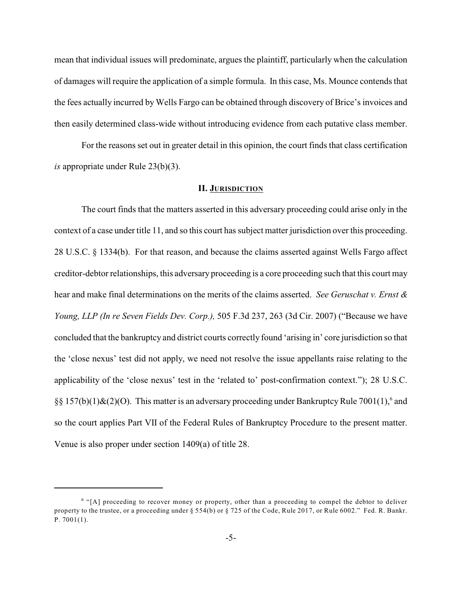mean that individual issues will predominate, argues the plaintiff, particularly when the calculation of damages will require the application of a simple formula. In this case, Ms. Mounce contends that the fees actually incurred by Wells Fargo can be obtained through discovery of Brice's invoices and then easily determined class-wide without introducing evidence from each putative class member.

For the reasons set out in greater detail in this opinion, the court finds that class certification *is* appropriate under Rule 23(b)(3).

# **II. JURISDICTION**

The court finds that the matters asserted in this adversary proceeding could arise only in the context of a case under title 11, and so this court has subject matter jurisdiction over this proceeding. 28 U.S.C. § 1334(b). For that reason, and because the claims asserted against Wells Fargo affect creditor-debtor relationships, this adversary proceeding is a core proceeding such that this court may hear and make final determinations on the merits of the claims asserted. *See Geruschat v. Ernst & Young, LLP (In re Seven Fields Dev. Corp.),* 505 F.3d 237, 263 (3d Cir. 2007) ("Because we have concluded that the bankruptcy and district courts correctly found 'arising in' core jurisdiction so that the 'close nexus' test did not apply, we need not resolve the issue appellants raise relating to the applicability of the 'close nexus' test in the 'related to' post-confirmation context."); 28 U.S.C. §§ 157(b)(1)&(2)(O). This matter is an adversary proceeding under Bankruptcy Rule 7001(1),<sup>6</sup> and so the court applies Part VII of the Federal Rules of Bankruptcy Procedure to the present matter. Venue is also proper under section 1409(a) of title 28.

 $6$  "[A] proceeding to recover money or property, other than a proceeding to compel the debtor to deliver property to the trustee, or a proceeding under § 554(b) or § 725 of the Code, Rule 2017, or Rule 6002." Fed. R. Bankr. P. 7001(1).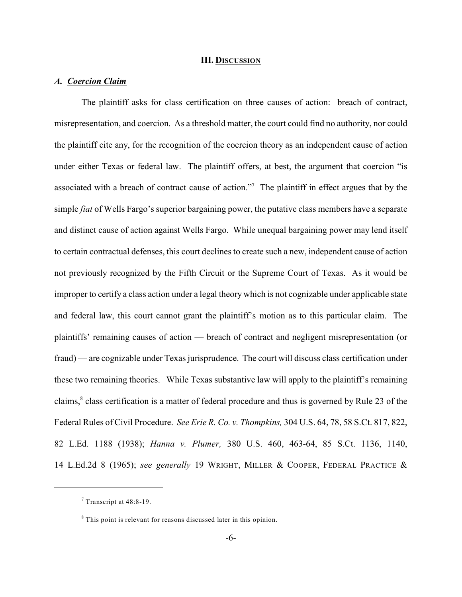### **III. DISCUSSION**

# *A. Coercion Claim*

The plaintiff asks for class certification on three causes of action: breach of contract, misrepresentation, and coercion. As a threshold matter, the court could find no authority, nor could the plaintiff cite any, for the recognition of the coercion theory as an independent cause of action under either Texas or federal law. The plaintiff offers, at best, the argument that coercion "is associated with a breach of contract cause of action."<sup>7</sup> The plaintiff in effect argues that by the simple *fiat* of Wells Fargo's superior bargaining power, the putative class members have a separate and distinct cause of action against Wells Fargo. While unequal bargaining power may lend itself to certain contractual defenses, this court declines to create such a new, independent cause of action not previously recognized by the Fifth Circuit or the Supreme Court of Texas. As it would be improper to certify a class action under a legal theory which is not cognizable under applicable state and federal law, this court cannot grant the plaintiff's motion as to this particular claim. The plaintiffs' remaining causes of action — breach of contract and negligent misrepresentation (or fraud) — are cognizable under Texas jurisprudence. The court will discuss class certification under these two remaining theories. While Texas substantive law will apply to the plaintiff's remaining claims,<sup>8</sup> class certification is a matter of federal procedure and thus is governed by Rule 23 of the Federal Rules of Civil Procedure. *See Erie R. Co. v. Thompkins,* 304 U.S. 64, 78, 58 S.Ct. 817, 822, 82 L.Ed. 1188 (1938); *Hanna v. Plumer,* 380 U.S. 460, 463-64, 85 S.Ct. 1136, 1140, 14 L.Ed.2d 8 (1965); *see generally* 19 WRIGHT, MILLER & COOPER, FEDERAL PRACTICE &

 $7$  Transcript at 48:8-19.

<sup>&</sup>lt;sup>8</sup> This point is relevant for reasons discussed later in this opinion.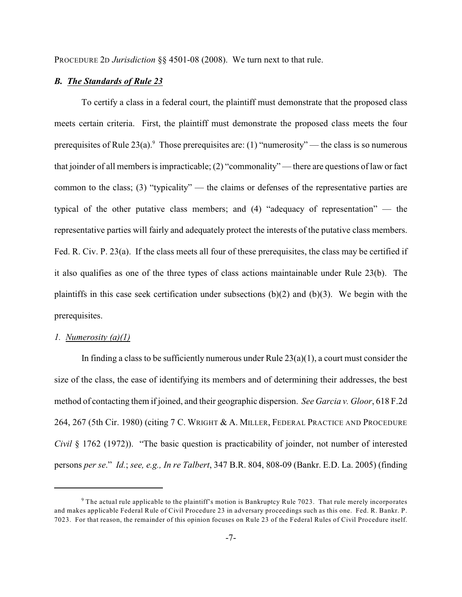PROCEDURE 2D *Jurisdiction* §§ 4501-08 (2008). We turn next to that rule.

# *B. The Standards of Rule 23*

To certify a class in a federal court, the plaintiff must demonstrate that the proposed class meets certain criteria. First, the plaintiff must demonstrate the proposed class meets the four prerequisites of Rule  $23(a)$ . Those prerequisites are: (1) "numerosity" — the class is so numerous that joinder of all members is impracticable; (2) "commonality" — there are questions of law or fact common to the class; (3) "typicality" — the claims or defenses of the representative parties are typical of the other putative class members; and (4) "adequacy of representation" — the representative parties will fairly and adequately protect the interests of the putative class members. Fed. R. Civ. P. 23(a). If the class meets all four of these prerequisites, the class may be certified if it also qualifies as one of the three types of class actions maintainable under Rule 23(b). The plaintiffs in this case seek certification under subsections (b)(2) and (b)(3). We begin with the prerequisites.

# *1. Numerosity (a)(1)*

In finding a class to be sufficiently numerous under Rule  $23(a)(1)$ , a court must consider the size of the class, the ease of identifying its members and of determining their addresses, the best method of contacting them if joined, and their geographic dispersion. *See Garcia v. Gloor*, 618 F.2d 264, 267 (5th Cir. 1980) (citing 7 C. WRIGHT & A. MILLER, FEDERAL PRACTICE AND PROCEDURE *Civil* § 1762 (1972)). "The basic question is practicability of joinder, not number of interested persons *per se*." *Id.*; *see, e.g., In re Talbert*, 347 B.R. 804, 808-09 (Bankr. E.D. La. 2005) (finding

<sup>&</sup>lt;sup>9</sup> The actual rule applicable to the plaintiff's motion is Bankruptcy Rule 7023. That rule merely incorporates and makes applicable Federal Rule of Civil Procedure 23 in adversary proceedings such as this one. Fed. R. Bankr. P. 7023. For that reason, the remainder of this opinion focuses on Rule 23 of the Federal Rules of Civil Procedure itself.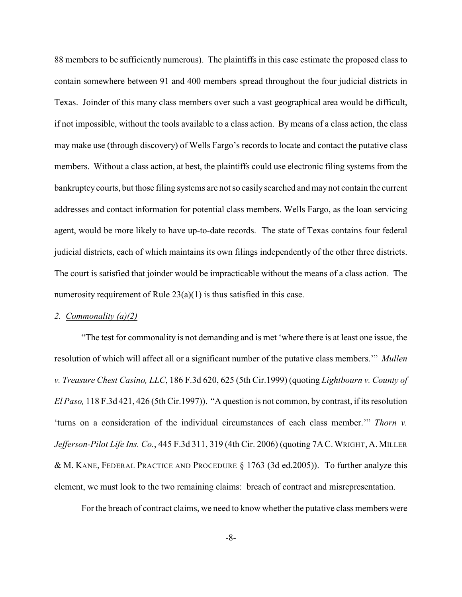88 members to be sufficiently numerous). The plaintiffs in this case estimate the proposed class to contain somewhere between 91 and 400 members spread throughout the four judicial districts in Texas. Joinder of this many class members over such a vast geographical area would be difficult, if not impossible, without the tools available to a class action. By means of a class action, the class may make use (through discovery) of Wells Fargo's records to locate and contact the putative class members. Without a class action, at best, the plaintiffs could use electronic filing systems from the bankruptcy courts, but those filing systems are not so easily searched and may not contain the current addresses and contact information for potential class members. Wells Fargo, as the loan servicing agent, would be more likely to have up-to-date records. The state of Texas contains four federal judicial districts, each of which maintains its own filings independently of the other three districts. The court is satisfied that joinder would be impracticable without the means of a class action. The numerosity requirement of Rule 23(a)(1) is thus satisfied in this case.

# *2. Commonality (a)(2)*

"The test for commonality is not demanding and is met 'where there is at least one issue, the resolution of which will affect all or a significant number of the putative class members.'" *Mullen v. Treasure Chest Casino, LLC*, 186 F.3d 620, 625 (5th Cir.1999) (quoting *Lightbourn v. County of El Paso,* 118 F.3d 421, 426 (5th Cir.1997)). "A question is not common, by contrast, if its resolution 'turns on a consideration of the individual circumstances of each class member.'" *Thorn v. Jefferson-Pilot Life Ins. Co.*, 445 F.3d 311, 319 (4th Cir. 2006) (quoting 7AC.WRIGHT, A. MILLER & M. KANE, FEDERAL PRACTICE AND PROCEDURE § 1763 (3d ed.2005)). To further analyze this element, we must look to the two remaining claims: breach of contract and misrepresentation.

For the breach of contract claims, we need to know whether the putative class members were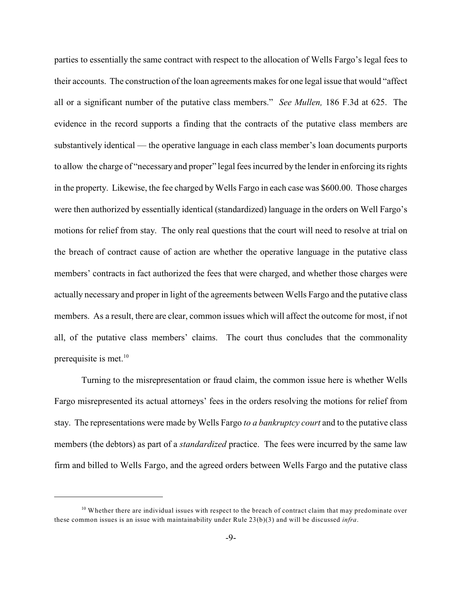parties to essentially the same contract with respect to the allocation of Wells Fargo's legal fees to their accounts. The construction of the loan agreements makes for one legal issue that would "affect all or a significant number of the putative class members." *See Mullen,* 186 F.3d at 625. The evidence in the record supports a finding that the contracts of the putative class members are substantively identical — the operative language in each class member's loan documents purports to allow the charge of "necessary and proper" legal fees incurred by the lender in enforcing its rights in the property. Likewise, the fee charged by Wells Fargo in each case was \$600.00. Those charges were then authorized by essentially identical (standardized) language in the orders on Well Fargo's motions for relief from stay. The only real questions that the court will need to resolve at trial on the breach of contract cause of action are whether the operative language in the putative class members' contracts in fact authorized the fees that were charged, and whether those charges were actually necessary and proper in light of the agreements between Wells Fargo and the putative class members. As a result, there are clear, common issues which will affect the outcome for most, if not all, of the putative class members' claims. The court thus concludes that the commonality prerequisite is met.<sup>10</sup>

Turning to the misrepresentation or fraud claim, the common issue here is whether Wells Fargo misrepresented its actual attorneys' fees in the orders resolving the motions for relief from stay. The representations were made by Wells Fargo *to a bankruptcy court* and to the putative class members (the debtors) as part of a *standardized* practice. The fees were incurred by the same law firm and billed to Wells Fargo, and the agreed orders between Wells Fargo and the putative class

<sup>&</sup>lt;sup>10</sup> Whether there are individual issues with respect to the breach of contract claim that may predominate over these common issues is an issue with maintainability under Rule 23(b)(3) and will be discussed *infra*.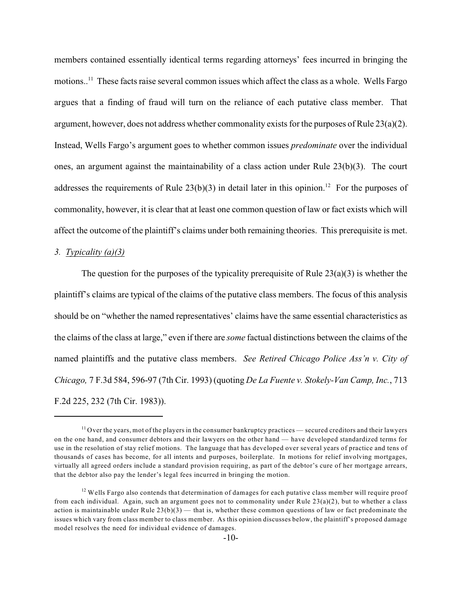members contained essentially identical terms regarding attorneys' fees incurred in bringing the motions.<sup>11</sup> These facts raise several common issues which affect the class as a whole. Wells Fargo argues that a finding of fraud will turn on the reliance of each putative class member. That argument, however, does not address whether commonality exists for the purposes of Rule 23(a)(2). Instead, Wells Fargo's argument goes to whether common issues *predominate* over the individual ones, an argument against the maintainability of a class action under Rule 23(b)(3). The court addresses the requirements of Rule  $23(b)(3)$  in detail later in this opinion.<sup>12</sup> For the purposes of commonality, however, it is clear that at least one common question of law or fact exists which will affect the outcome of the plaintiff's claims under both remaining theories. This prerequisite is met.

### *3. Typicality (a)(3)*

The question for the purposes of the typicality prerequisite of Rule  $23(a)(3)$  is whether the plaintiff's claims are typical of the claims of the putative class members. The focus of this analysis should be on "whether the named representatives' claims have the same essential characteristics as the claims of the class at large," even if there are *some* factual distinctions between the claims of the named plaintiffs and the putative class members. *See Retired Chicago Police Ass'n v. City of Chicago,* 7 F.3d 584, 596-97 (7th Cir. 1993) (quoting *De La Fuente v. Stokely-Van Camp, Inc.*, 713 F.2d 225, 232 (7th Cir. 1983)).

 $11$  Over the years, mot of the players in the consumer bankruptcy practices — secured creditors and their lawyers on the one hand, and consumer debtors and their lawyers on the other hand — have developed standardized terms for use in the resolution of stay relief motions. The language that has developed over several years of practice and tens of thousands of cases has become, for all intents and purposes, boilerplate. In motions for relief involving mortgages, virtually all agreed orders include a standard provision requiring, as part of the debtor's cure of her mortgage arrears, that the debtor also pay the lender's legal fees incurred in bringing the motion.

 $12$  Wells Fargo also contends that determination of damages for each putative class member will require proof from each individual. Again, such an argument goes not to commonality under Rule 23(a)(2), but to whether a class action is maintainable under Rule  $23(b)(3)$  — that is, whether these common questions of law or fact predominate the issues which vary from class member to class member. As this opinion discusses below, the plaintiff's proposed damage model resolves the need for individual evidence of damages.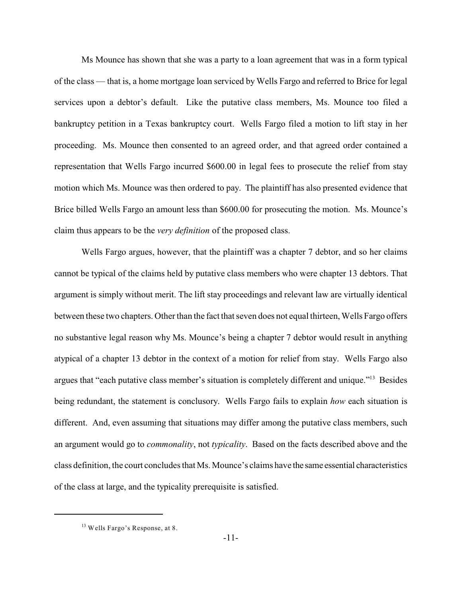Ms Mounce has shown that she was a party to a loan agreement that was in a form typical of the class — that is, a home mortgage loan serviced by Wells Fargo and referred to Brice for legal services upon a debtor's default. Like the putative class members, Ms. Mounce too filed a bankruptcy petition in a Texas bankruptcy court. Wells Fargo filed a motion to lift stay in her proceeding. Ms. Mounce then consented to an agreed order, and that agreed order contained a representation that Wells Fargo incurred \$600.00 in legal fees to prosecute the relief from stay motion which Ms. Mounce was then ordered to pay. The plaintiff has also presented evidence that Brice billed Wells Fargo an amount less than \$600.00 for prosecuting the motion. Ms. Mounce's claim thus appears to be the *very definition* of the proposed class.

Wells Fargo argues, however, that the plaintiff was a chapter 7 debtor, and so her claims cannot be typical of the claims held by putative class members who were chapter 13 debtors. That argument is simply without merit. The lift stay proceedings and relevant law are virtually identical between these two chapters. Other than the fact that seven does not equal thirteen, Wells Fargo offers no substantive legal reason why Ms. Mounce's being a chapter 7 debtor would result in anything atypical of a chapter 13 debtor in the context of a motion for relief from stay. Wells Fargo also argues that "each putative class member's situation is completely different and unique."<sup>13</sup> Besides being redundant, the statement is conclusory. Wells Fargo fails to explain *how* each situation is different. And, even assuming that situations may differ among the putative class members, such an argument would go to *commonality*, not *typicality*. Based on the facts described above and the class definition, the court concludes that Ms. Mounce's claims have the same essential characteristics of the class at large, and the typicality prerequisite is satisfied.

 $13$  Wells Fargo's Response, at 8.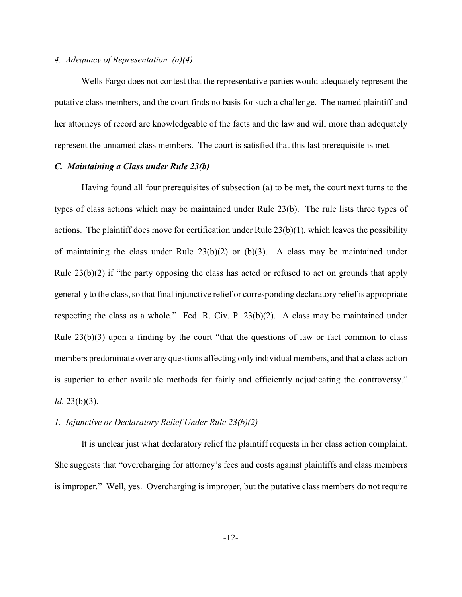# *4. Adequacy of Representation (a)(4)*

Wells Fargo does not contest that the representative parties would adequately represent the putative class members, and the court finds no basis for such a challenge. The named plaintiff and her attorneys of record are knowledgeable of the facts and the law and will more than adequately represent the unnamed class members. The court is satisfied that this last prerequisite is met.

# *C. Maintaining a Class under Rule 23(b)*

Having found all four prerequisites of subsection (a) to be met, the court next turns to the types of class actions which may be maintained under Rule 23(b). The rule lists three types of actions. The plaintiff does move for certification under Rule 23(b)(1), which leaves the possibility of maintaining the class under Rule  $23(b)(2)$  or  $(b)(3)$ . A class may be maintained under Rule 23(b)(2) if "the party opposing the class has acted or refused to act on grounds that apply generally to the class, so that final injunctive relief or corresponding declaratory relief is appropriate respecting the class as a whole." Fed. R. Civ. P. 23(b)(2). A class may be maintained under Rule  $23(b)(3)$  upon a finding by the court "that the questions of law or fact common to class members predominate over any questions affecting only individual members, and that a class action is superior to other available methods for fairly and efficiently adjudicating the controversy." *Id.* 23(b)(3).

# *1. Injunctive or Declaratory Relief Under Rule 23(b)(2)*

It is unclear just what declaratory relief the plaintiff requests in her class action complaint. She suggests that "overcharging for attorney's fees and costs against plaintiffs and class members is improper." Well, yes. Overcharging is improper, but the putative class members do not require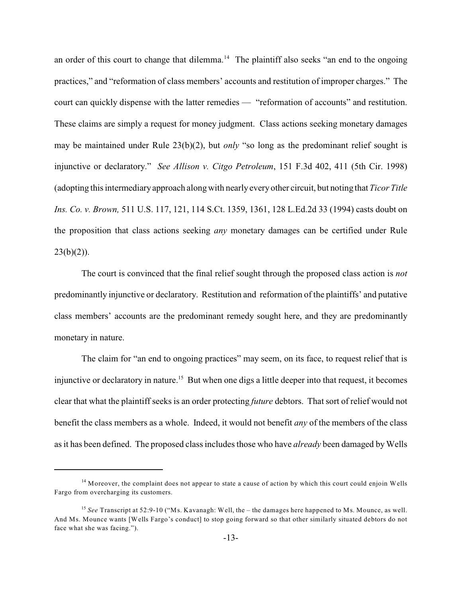an order of this court to change that dilemma.<sup>14</sup> The plaintiff also seeks "an end to the ongoing practices," and "reformation of class members' accounts and restitution of improper charges." The court can quickly dispense with the latter remedies — "reformation of accounts" and restitution. These claims are simply a request for money judgment. Class actions seeking monetary damages may be maintained under Rule 23(b)(2), but *only* "so long as the predominant relief sought is injunctive or declaratory." *See Allison v. Citgo Petroleum*, 151 F.3d 402, 411 (5th Cir. 1998) (adopting this intermediaryapproach along with nearly everyother circuit, but noting that *Ticor Title Ins. Co. v. Brown,* 511 U.S. 117, 121, 114 S.Ct. 1359, 1361, 128 L.Ed.2d 33 (1994) casts doubt on the proposition that class actions seeking *any* monetary damages can be certified under Rule  $23(b)(2)$ ).

The court is convinced that the final relief sought through the proposed class action is *not* predominantly injunctive or declaratory. Restitution and reformation of the plaintiffs' and putative class members' accounts are the predominant remedy sought here, and they are predominantly monetary in nature.

The claim for "an end to ongoing practices" may seem, on its face, to request relief that is injunctive or declaratory in nature.<sup>15</sup> But when one digs a little deeper into that request, it becomes clear that what the plaintiff seeks is an order protecting *future* debtors. That sort of relief would not benefit the class members as a whole. Indeed, it would not benefit *any* of the members of the class as it has been defined. The proposed class includes those who have *already* been damaged by Wells

 $<sup>14</sup>$  Moreover, the complaint does not appear to state a cause of action by which this court could enjoin Wells</sup> Fargo from overcharging its customers.

<sup>&</sup>lt;sup>15</sup> See Transcript at 52:9-10 ("Ms. Kavanagh: Well, the – the damages here happened to Ms. Mounce, as well. And Ms. Mounce wants [Wells Fargo's conduct] to stop going forward so that other similarly situated debtors do not face what she was facing.").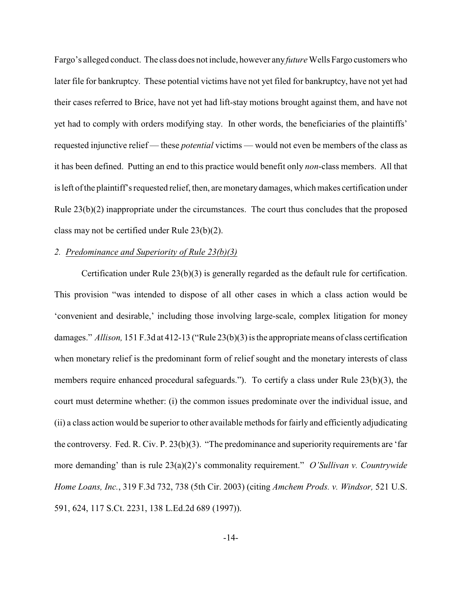Fargo's alleged conduct. The class does not include, however any *future* Wells Fargo customers who later file for bankruptcy. These potential victims have not yet filed for bankruptcy, have not yet had their cases referred to Brice, have not yet had lift-stay motions brought against them, and have not yet had to comply with orders modifying stay. In other words, the beneficiaries of the plaintiffs' requested injunctive relief — these *potential* victims — would not even be members of the class as it has been defined. Putting an end to this practice would benefit only *non*-class members. All that is left of the plaintiff's requested relief, then, are monetary damages, which makes certification under Rule 23(b)(2) inappropriate under the circumstances. The court thus concludes that the proposed class may not be certified under Rule 23(b)(2).

### *2. Predominance and Superiority of Rule 23(b)(3)*

Certification under Rule 23(b)(3) is generally regarded as the default rule for certification. This provision "was intended to dispose of all other cases in which a class action would be 'convenient and desirable,' including those involving large-scale, complex litigation for money damages." *Allison,* 151 F.3d at 412-13 ("Rule 23(b)(3) is the appropriate means of class certification when monetary relief is the predominant form of relief sought and the monetary interests of class members require enhanced procedural safeguards."). To certify a class under Rule 23(b)(3), the court must determine whether: (i) the common issues predominate over the individual issue, and (ii) a class action would be superior to other available methods for fairly and efficiently adjudicating the controversy. Fed. R. Civ. P. 23(b)(3). "The predominance and superiority requirements are 'far more demanding' than is rule 23(a)(2)'s commonality requirement." *O'Sullivan v. Countrywide Home Loans, Inc.*, 319 F.3d 732, 738 (5th Cir. 2003) (citing *Amchem Prods. v. Windsor,* 521 U.S. 591, 624, 117 S.Ct. 2231, 138 L.Ed.2d 689 (1997)).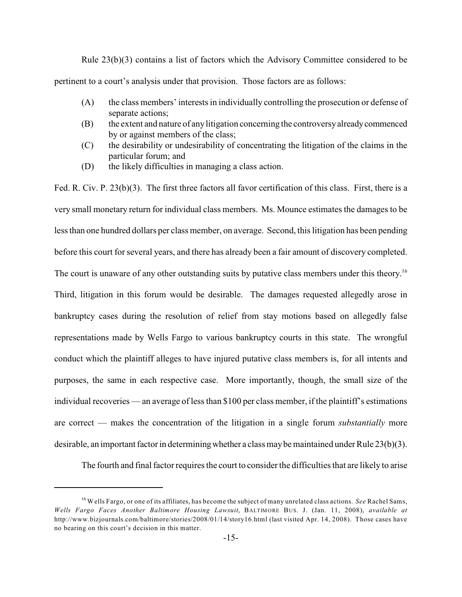Rule 23(b)(3) contains a list of factors which the Advisory Committee considered to be pertinent to a court's analysis under that provision. Those factors are as follows:

- (A) the class members' interests in individually controlling the prosecution or defense of separate actions;
- (B) the extent and nature of any litigation concerning the controversy already commenced by or against members of the class;
- (C) the desirability or undesirability of concentrating the litigation of the claims in the particular forum; and
- (D) the likely difficulties in managing a class action.

Fed. R. Civ. P. 23(b)(3). The first three factors all favor certification of this class. First, there is a very small monetary return for individual class members. Ms. Mounce estimates the damages to be less than one hundred dollars per class member, on average. Second, this litigation has been pending before this court for several years, and there has already been a fair amount of discovery completed. The court is unaware of any other outstanding suits by putative class members under this theory.<sup>16</sup> Third, litigation in this forum would be desirable. The damages requested allegedly arose in bankruptcy cases during the resolution of relief from stay motions based on allegedly false representations made by Wells Fargo to various bankruptcy courts in this state. The wrongful conduct which the plaintiff alleges to have injured putative class members is, for all intents and purposes, the same in each respective case. More importantly, though, the small size of the individual recoveries — an average of less than \$100 per class member, if the plaintiff's estimations are correct — makes the concentration of the litigation in a single forum *substantially* more desirable, an important factor in determining whether a class may be maintained under Rule 23(b)(3).

The fourth and final factor requires the court to consider the difficulties that are likely to arise

<sup>&</sup>lt;sup>16</sup> Wells Fargo, or one of its affiliates, has become the subject of many unrelated class actions. *See* Rachel Sams, *Wells Fargo Faces Another Baltimore Housing Lawsuit*, BALTIMORE BUS. J. (Jan. 11, 2008), *available at* http://www.bizjournals.com/baltimore/stories/2008/01/14/story16.html (last visited Apr. 14, 2008). Those cases have no bearing on this court's decision in this matter.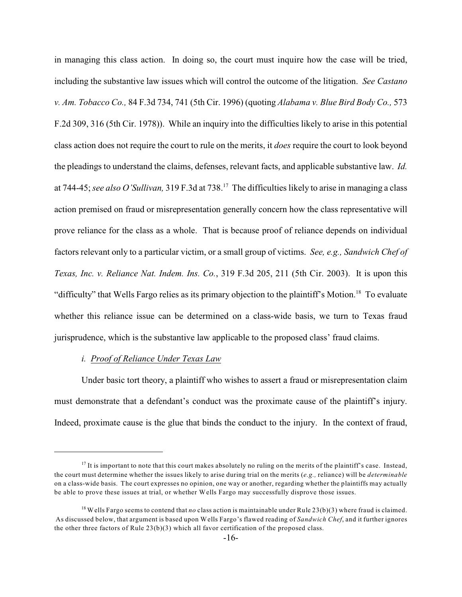in managing this class action. In doing so, the court must inquire how the case will be tried, including the substantive law issues which will control the outcome of the litigation. *See Castano v. Am. Tobacco Co.,* 84 F.3d 734, 741 (5th Cir. 1996) (quoting *Alabama v. Blue Bird Body Co.,* 573 F.2d 309, 316 (5th Cir. 1978)). While an inquiry into the difficulties likely to arise in this potential class action does not require the court to rule on the merits, it *does* require the court to look beyond the pleadings to understand the claims, defenses, relevant facts, and applicable substantive law. *Id.* at 744-45; see also O'Sullivan, 319 F.3d at 738.<sup>17</sup> The difficulties likely to arise in managing a class action premised on fraud or misrepresentation generally concern how the class representative will prove reliance for the class as a whole. That is because proof of reliance depends on individual factors relevant only to a particular victim, or a small group of victims. *See, e.g., Sandwich Chef of Texas, Inc. v. Reliance Nat. Indem. Ins. Co.*, 319 F.3d 205, 211 (5th Cir. 2003). It is upon this "difficulty" that Wells Fargo relies as its primary objection to the plaintiff's Motion.<sup>18</sup> To evaluate whether this reliance issue can be determined on a class-wide basis, we turn to Texas fraud jurisprudence, which is the substantive law applicable to the proposed class' fraud claims.

# *i. Proof of Reliance Under Texas Law*

Under basic tort theory, a plaintiff who wishes to assert a fraud or misrepresentation claim must demonstrate that a defendant's conduct was the proximate cause of the plaintiff's injury. Indeed, proximate cause is the glue that binds the conduct to the injury. In the context of fraud,

 $17$  It is important to note that this court makes absolutely no ruling on the merits of the plaintiff's case. Instead, the court must determine whether the issues likely to arise during trial on the merits (*e.g.,* reliance) will be *determinable* on a class-wide basis. The court expresses no opinion, one way or another, regarding whether the plaintiffs may actually be able to prove these issues at trial, or whether Wells Fargo may successfully disprove those issues.

<sup>&</sup>lt;sup>18</sup> Wells Fargo seems to contend that *no* class action is maintainable under Rule  $23(b)(3)$  where fraud is claimed. As discussed below, that argument is based upon Wells Fargo's flawed reading of *Sandwich Chef*, and it further ignores the other three factors of Rule  $23(b)(3)$  which all favor certification of the proposed class.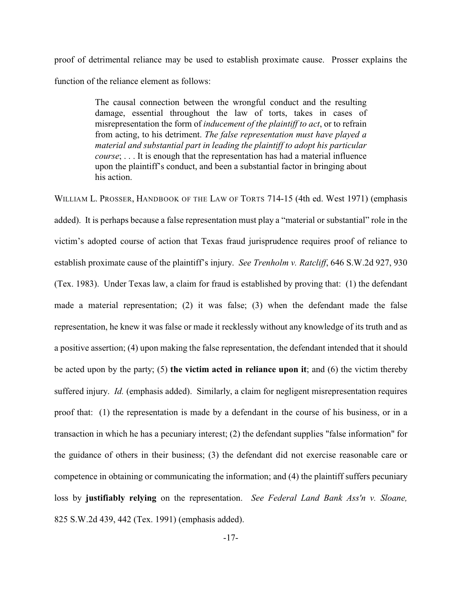proof of detrimental reliance may be used to establish proximate cause. Prosser explains the function of the reliance element as follows:

> The causal connection between the wrongful conduct and the resulting damage, essential throughout the law of torts, takes in cases of misrepresentation the form of *inducement of the plaintiff to act*, or to refrain from acting, to his detriment. *The false representation must have played a material and substantial part in leading the plaintiff to adopt his particular course*; . . . It is enough that the representation has had a material influence upon the plaintiff's conduct, and been a substantial factor in bringing about his action.

WILLIAM L. PROSSER, HANDBOOK OF THE LAW OF TORTS 714-15 (4th ed. West 1971) (emphasis added). It is perhaps because a false representation must play a "material or substantial" role in the victim's adopted course of action that Texas fraud jurisprudence requires proof of reliance to establish proximate cause of the plaintiff's injury. *See Trenholm v. Ratcliff*, 646 S.W.2d 927, 930 (Tex. 1983). Under Texas law, a claim for fraud is established by proving that: (1) the defendant made a material representation; (2) it was false; (3) when the defendant made the false representation, he knew it was false or made it recklessly without any knowledge of its truth and as a positive assertion; (4) upon making the false representation, the defendant intended that it should be acted upon by the party; (5) **the victim acted in reliance upon it**; and (6) the victim thereby suffered injury. *Id.* (emphasis added). Similarly, a claim for negligent misrepresentation requires proof that: (1) the representation is made by a defendant in the course of his business, or in a transaction in which he has a pecuniary interest; (2) the defendant supplies "false information" for the guidance of others in their business; (3) the defendant did not exercise reasonable care or competence in obtaining or communicating the information; and (4) the plaintiff suffers pecuniary loss by **justifiably relying** on the representation. *See Federal Land Bank Ass'n v. Sloane,* 825 S.W.2d 439, 442 (Tex. 1991) (emphasis added).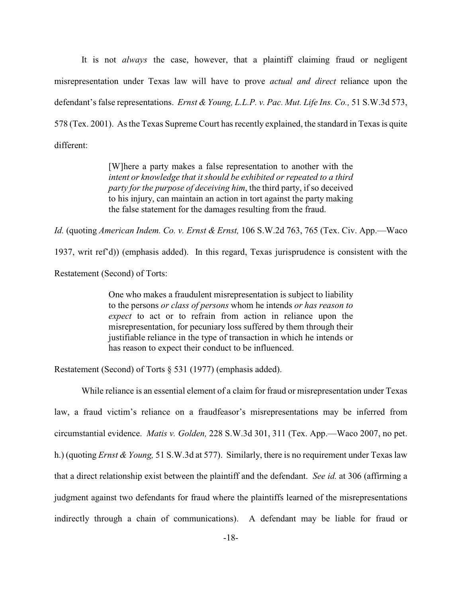It is not *always* the case, however, that a plaintiff claiming fraud or negligent misrepresentation under Texas law will have to prove *actual and direct* reliance upon the defendant's false representations. *Ernst & Young, L.L.P. v. Pac. Mut. Life Ins. Co.,* 51 S.W.3d 573, 578 (Tex. 2001). As the Texas Supreme Court has recently explained, the standard in Texas is quite different:

> [W]here a party makes a false representation to another with the *intent or knowledge that it should be exhibited or repeated to a third party for the purpose of deceiving him*, the third party, if so deceived to his injury, can maintain an action in tort against the party making the false statement for the damages resulting from the fraud.

*Id.* (quoting *American Indem. Co. v. Ernst & Ernst,* 106 S.W.2d 763, 765 (Tex. Civ. App.—Waco

1937, writ ref'd)) (emphasis added). In this regard, Texas jurisprudence is consistent with the

Restatement (Second) of Torts:

One who makes a fraudulent misrepresentation is subject to liability to the persons *or class of persons* whom he intends *or has reason to expect* to act or to refrain from action in reliance upon the misrepresentation, for pecuniary loss suffered by them through their justifiable reliance in the type of transaction in which he intends or has reason to expect their conduct to be influenced.

Restatement (Second) of Torts § 531 (1977) (emphasis added).

While reliance is an essential element of a claim for fraud or misrepresentation under Texas law, a fraud victim's reliance on a fraudfeasor's misrepresentations may be inferred from circumstantial evidence. *Matis v. Golden,* 228 S.W.3d 301, 311 (Tex. App.—Waco 2007, no pet. h.) (quoting *Ernst & Young,* 51 S.W.3d at 577). Similarly, there is no requirement under Texas law that a direct relationship exist between the plaintiff and the defendant. *See id.* at 306 (affirming a judgment against two defendants for fraud where the plaintiffs learned of the misrepresentations indirectly through a chain of communications). A defendant may be liable for fraud or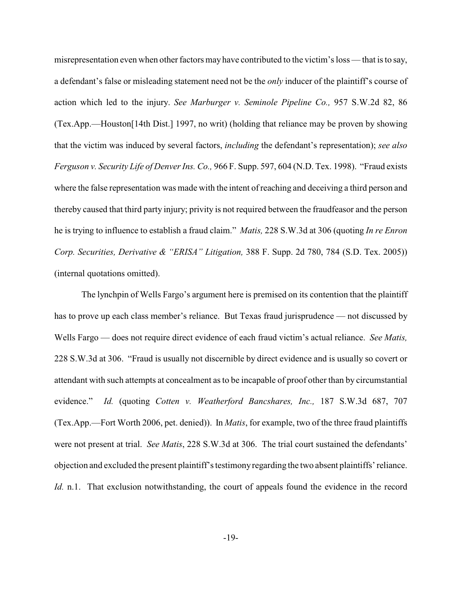misrepresentation even when other factors may have contributed to the victim's loss — that is to say, a defendant's false or misleading statement need not be the *only* inducer of the plaintiff's course of action which led to the injury. *See Marburger v. Seminole Pipeline Co.,* 957 S.W.2d 82, 86 (Tex.App.—Houston[14th Dist.] 1997, no writ) (holding that reliance may be proven by showing that the victim was induced by several factors, *including* the defendant's representation); *see also Ferguson v. Security Life of Denver Ins. Co.,* 966 F. Supp. 597, 604 (N.D. Tex. 1998). "Fraud exists where the false representation was made with the intent of reaching and deceiving a third person and thereby caused that third party injury; privity is not required between the fraudfeasor and the person he is trying to influence to establish a fraud claim." *Matis,* 228 S.W.3d at 306 (quoting *In re Enron Corp. Securities, Derivative & "ERISA" Litigation,* 388 F. Supp. 2d 780, 784 (S.D. Tex. 2005)) (internal quotations omitted).

The lynchpin of Wells Fargo's argument here is premised on its contention that the plaintiff has to prove up each class member's reliance. But Texas fraud jurisprudence — not discussed by Wells Fargo — does not require direct evidence of each fraud victim's actual reliance. *See Matis,* 228 S.W.3d at 306. "Fraud is usually not discernible by direct evidence and is usually so covert or attendant with such attempts at concealment as to be incapable of proof other than by circumstantial evidence." *Id.* (quoting *Cotten v. Weatherford Bancshares, Inc.,* 187 S.W.3d 687, 707 (Tex.App.—Fort Worth 2006, pet. denied)). In *Matis*, for example, two of the three fraud plaintiffs were not present at trial. *See Matis*, 228 S.W.3d at 306. The trial court sustained the defendants' objection and excluded the present plaintiff's testimony regarding the two absent plaintiffs' reliance. *Id.* n.1. That exclusion notwithstanding, the court of appeals found the evidence in the record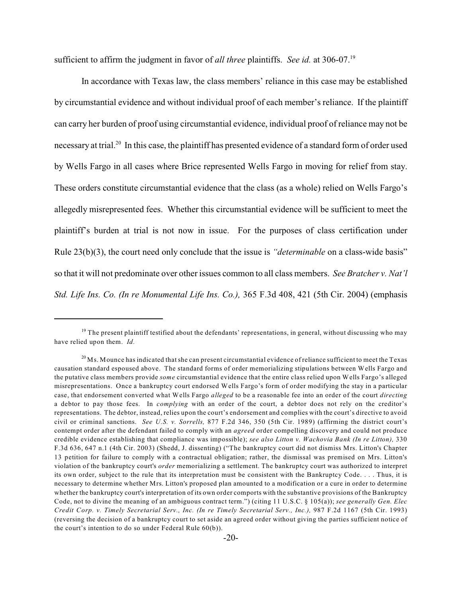sufficient to affirm the judgment in favor of *all three* plaintiffs. *See id.* at 306-07. 19

In accordance with Texas law, the class members' reliance in this case may be established by circumstantial evidence and without individual proof of each member's reliance. If the plaintiff can carry her burden of proof using circumstantial evidence, individual proof of reliance may not be necessary at trial.<sup>20</sup> In this case, the plaintiff has presented evidence of a standard form of order used by Wells Fargo in all cases where Brice represented Wells Fargo in moving for relief from stay. These orders constitute circumstantial evidence that the class (as a whole) relied on Wells Fargo's allegedly misrepresented fees. Whether this circumstantial evidence will be sufficient to meet the plaintiff's burden at trial is not now in issue. For the purposes of class certification under Rule 23(b)(3), the court need only conclude that the issue is *"determinable* on a class-wide basis" so that it will not predominate over other issues common to all class members. *See Bratcher v. Nat'l Std. Life Ins. Co. (In re Monumental Life Ins. Co.),* 365 F.3d 408, 421 (5th Cir. 2004) (emphasis

<sup>&</sup>lt;sup>19</sup> The present plaintiff testified about the defendants' representations, in general, without discussing who may have relied upon them. *Id.*

 $^{20}\rm{Ms}$  . Mounce has indicated that she can present circumstantial evidence of reliance sufficient to meet the Texas causation standard espoused above. The standard forms of order memorializing stipulations between Wells Fargo and the putative class members provide *some* circumstantial evidence that the entire class relied upon Wells Fargo's alleged misrepresentations. Once a bankruptcy court endorsed Wells Fargo's form of order modifying the stay in a particular case, that endorsement converted what Wells Fargo *alleged* to be a reasonable fee into an order of the court *directing* a debtor to pay those fees. In *complying* with an order of the court, a debtor does not rely on the creditor's representations. The debtor, instead, relies upon the court's endorsement and complies with the court's directive to avoid civil or criminal sanctions. *See U.S. v. Sorrells,* 877 F.2d 346, 350 (5th Cir. 1989) (affirming the district court's contempt order after the defendant failed to comply with an *agreed* order compelling discovery and could not produce credible evidence establishing that compliance was impossible); *see also Litton v. Wachovia Bank (In re Litton),* 330 F.3d 636, 647 n.1 (4th Cir. 2003) (Shedd, J. dissenting) ("The bankruptcy court did not dismiss Mrs. Litton's Chapter 13 petition for failure to comply with a contractual obligation; rather, the dismissal was premised on Mrs. Litton's violation of the bankruptcy court's *order* memorializing a settlement. The bankruptcy court was authorized to interpret its own order, subject to the rule that its interpretation must be consistent with the Bankruptcy Code. . . . Thus, it is necessary to determine whether Mrs. Litton's proposed plan amounted to a modification or a cure in order to determine whether the bankruptcy court's interpretation of its own order comports with the substantive provisions of the Bankruptcy Code, not to divine the meaning of an ambiguous contract term.") (citing 11 U.S.C. § 105(a)); *see generally Gen. Elec Credit Corp. v. Timely Secretarial Serv., Inc. (In re Timely Secretarial Serv., Inc.),* 987 F.2d 1167 (5th Cir. 1993) (reversing the decision of a bankruptcy court to set aside an agreed order without giving the parties sufficient notice of the court's intention to do so under Federal Rule 60(b)).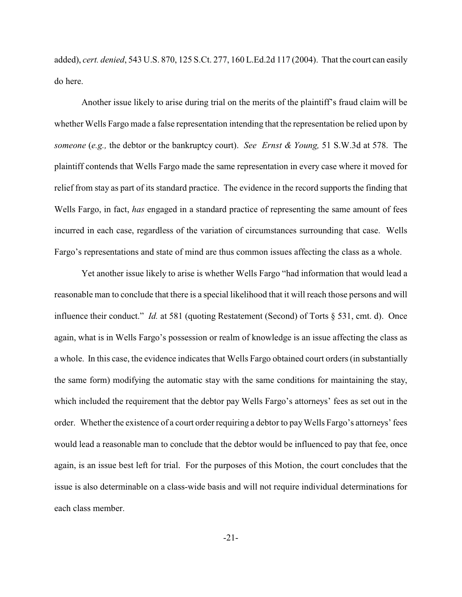added), *cert. denied*, 543 U.S. 870, 125 S.Ct. 277, 160 L.Ed.2d 117 (2004). That the court can easily do here.

Another issue likely to arise during trial on the merits of the plaintiff's fraud claim will be whether Wells Fargo made a false representation intending that the representation be relied upon by *someone* (*e.g.,* the debtor or the bankruptcy court). *See Ernst & Young,* 51 S.W.3d at 578. The plaintiff contends that Wells Fargo made the same representation in every case where it moved for relief from stay as part of its standard practice. The evidence in the record supports the finding that Wells Fargo, in fact, *has* engaged in a standard practice of representing the same amount of fees incurred in each case, regardless of the variation of circumstances surrounding that case. Wells Fargo's representations and state of mind are thus common issues affecting the class as a whole.

Yet another issue likely to arise is whether Wells Fargo "had information that would lead a reasonable man to conclude that there is a special likelihood that it will reach those persons and will influence their conduct." *Id.* at 581 (quoting Restatement (Second) of Torts § 531, cmt. d). Once again, what is in Wells Fargo's possession or realm of knowledge is an issue affecting the class as a whole. In this case, the evidence indicates that Wells Fargo obtained court orders (in substantially the same form) modifying the automatic stay with the same conditions for maintaining the stay, which included the requirement that the debtor pay Wells Fargo's attorneys' fees as set out in the order. Whether the existence of a court order requiring a debtor to pay Wells Fargo's attorneys' fees would lead a reasonable man to conclude that the debtor would be influenced to pay that fee, once again, is an issue best left for trial. For the purposes of this Motion, the court concludes that the issue is also determinable on a class-wide basis and will not require individual determinations for each class member.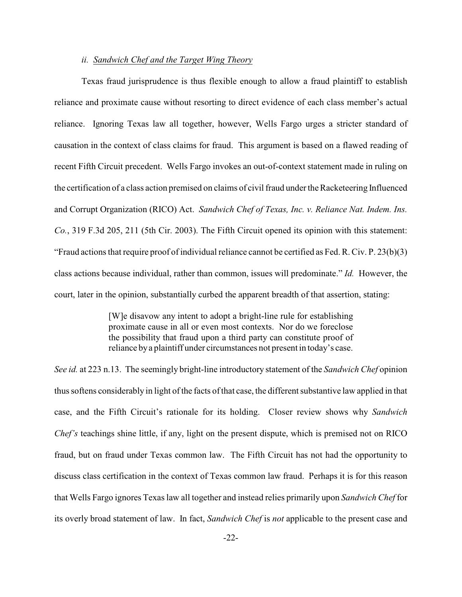# *ii. Sandwich Chef and the Target Wing Theory*

Texas fraud jurisprudence is thus flexible enough to allow a fraud plaintiff to establish reliance and proximate cause without resorting to direct evidence of each class member's actual reliance. Ignoring Texas law all together, however, Wells Fargo urges a stricter standard of causation in the context of class claims for fraud. This argument is based on a flawed reading of recent Fifth Circuit precedent. Wells Fargo invokes an out-of-context statement made in ruling on the certification of a class action premised on claims of civil fraud under the Racketeering Influenced and Corrupt Organization (RICO) Act. *Sandwich Chef of Texas, Inc. v. Reliance Nat. Indem. Ins. Co.*, 319 F.3d 205, 211 (5th Cir. 2003). The Fifth Circuit opened its opinion with this statement: "Fraud actions that require proof of individual reliance cannot be certified as Fed. R. Civ. P. 23(b)(3) class actions because individual, rather than common, issues will predominate." *Id.* However, the court, later in the opinion, substantially curbed the apparent breadth of that assertion, stating:

> [W]e disavow any intent to adopt a bright-line rule for establishing proximate cause in all or even most contexts. Nor do we foreclose the possibility that fraud upon a third party can constitute proof of reliance by a plaintiff under circumstances not present in today's case.

*See id.* at 223 n.13. The seemingly bright-line introductory statement of the *Sandwich Chef* opinion thus softens considerably in light of the facts ofthat case, the different substantive law applied in that case, and the Fifth Circuit's rationale for its holding. Closer review shows why *Sandwich Chef's* teachings shine little, if any, light on the present dispute, which is premised not on RICO fraud, but on fraud under Texas common law. The Fifth Circuit has not had the opportunity to discuss class certification in the context of Texas common law fraud. Perhaps it is for this reason that Wells Fargo ignores Texas law all together and instead relies primarily upon *Sandwich Chef* for its overly broad statement of law. In fact, *Sandwich Chef* is *not* applicable to the present case and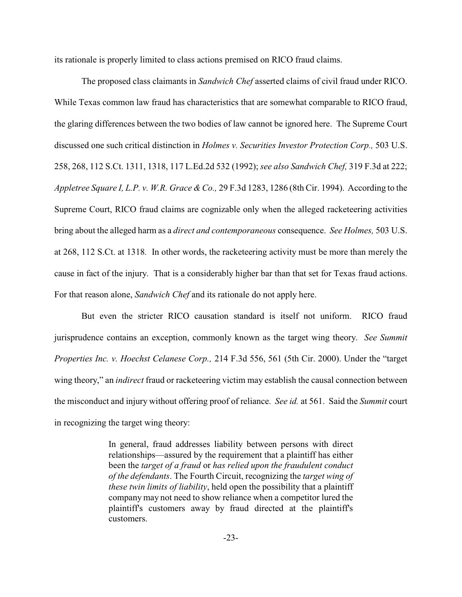its rationale is properly limited to class actions premised on RICO fraud claims.

The proposed class claimants in *Sandwich Chef* asserted claims of civil fraud under RICO. While Texas common law fraud has characteristics that are somewhat comparable to RICO fraud, the glaring differences between the two bodies of law cannot be ignored here. The Supreme Court discussed one such critical distinction in *Holmes v. Securities Investor Protection Corp.,* 503 U.S. 258, 268, 112 S.Ct. 1311, 1318, 117 L.Ed.2d 532 (1992); *see also Sandwich Chef,* 319 F.3d at 222; *Appletree Square I, L.P. v. W.R. Grace & Co.,* 29 F.3d 1283, 1286 (8th Cir. 1994). According to the Supreme Court, RICO fraud claims are cognizable only when the alleged racketeering activities bring about the alleged harm as a *direct and contemporaneous* consequence. *See Holmes,* 503 U.S. at 268, 112 S.Ct. at 1318*.* In other words, the racketeering activity must be more than merely the cause in fact of the injury. That is a considerably higher bar than that set for Texas fraud actions. For that reason alone, *Sandwich Chef* and its rationale do not apply here.

But even the stricter RICO causation standard is itself not uniform. RICO fraud jurisprudence contains an exception, commonly known as the target wing theory. *See Summit Properties Inc. v. Hoechst Celanese Corp.,* 214 F.3d 556, 561 (5th Cir. 2000). Under the "target wing theory," an *indirect* fraud or racketeering victim may establish the causal connection between the misconduct and injury without offering proof of reliance. *See id.* at 561. Said the *Summit* court in recognizing the target wing theory:

> In general, fraud addresses liability between persons with direct relationships—assured by the requirement that a plaintiff has either been the *target of a fraud* or *has relied upon the fraudulent conduct of the defendants*. The Fourth Circuit, recognizing the *target wing of these twin limits of liability*, held open the possibility that a plaintiff company may not need to show reliance when a competitor lured the plaintiff's customers away by fraud directed at the plaintiff's customers.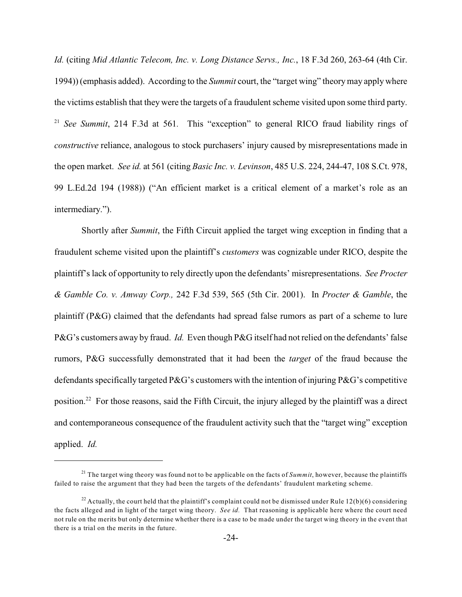*Id.* (citing *Mid Atlantic Telecom, Inc. v. Long Distance Servs., Inc.*, 18 F.3d 260, 263-64 (4th Cir. 1994)) (emphasis added). According to the *Summit* court, the "target wing" theory may apply where the victims establish that they were the targets of a fraudulent scheme visited upon some third party. <sup>21</sup> See Summit, 214 F.3d at 561. This "exception" to general RICO fraud liability rings of *constructive* reliance, analogous to stock purchasers' injury caused by misrepresentations made in the open market. *See id.* at 561 (citing *Basic Inc. v. Levinson*, 485 U.S. 224, 244-47, 108 S.Ct. 978, 99 L.Ed.2d 194 (1988)) ("An efficient market is a critical element of a market's role as an intermediary.").

Shortly after *Summit*, the Fifth Circuit applied the target wing exception in finding that a fraudulent scheme visited upon the plaintiff's *customers* was cognizable under RICO, despite the plaintiff's lack of opportunity to rely directly upon the defendants' misrepresentations. *See Procter & Gamble Co. v. Amway Corp.,* 242 F.3d 539, 565 (5th Cir. 2001). In *Procter & Gamble*, the plaintiff (P&G) claimed that the defendants had spread false rumors as part of a scheme to lure P&G's customers away by fraud. *Id.* Even though P&G itself had not relied on the defendants' false rumors, P&G successfully demonstrated that it had been the *target* of the fraud because the defendants specifically targeted P&G's customers with the intention of injuring P&G's competitive position.<sup>22</sup> For those reasons, said the Fifth Circuit, the injury alleged by the plaintiff was a direct and contemporaneous consequence of the fraudulent activity such that the "target wing" exception applied. *Id.*

<sup>&</sup>lt;sup>21</sup> The target wing theory was found not to be applicable on the facts of *Summit*, however, because the plaintiffs failed to raise the argument that they had been the targets of the defendants' fraudulent marketing scheme.

<sup>&</sup>lt;sup>22</sup> Actually, the court held that the plaintiff's complaint could not be dismissed under Rule 12(b)(6) considering the facts alleged and in light of the target wing theory. *See id.* That reasoning is applicable here where the court need not rule on the merits but only determine whether there is a case to be made under the target wing theory in the event that there is a trial on the merits in the future.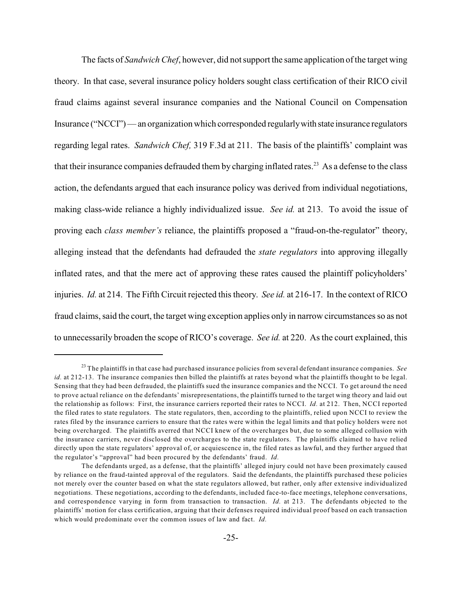The facts of *Sandwich Chef*, however, did not support the same application of the target wing theory. In that case, several insurance policy holders sought class certification of their RICO civil fraud claims against several insurance companies and the National Council on Compensation Insurance ("NCCI") — an organization which corresponded regularly with state insurance regulators regarding legal rates. *Sandwich Chef,* 319 F.3d at 211. The basis of the plaintiffs' complaint was that their insurance companies defrauded them by charging inflated rates.<sup>23</sup> As a defense to the class action, the defendants argued that each insurance policy was derived from individual negotiations, making class-wide reliance a highly individualized issue. *See id.* at 213. To avoid the issue of proving each *class member's* reliance, the plaintiffs proposed a "fraud-on-the-regulator" theory, alleging instead that the defendants had defrauded the *state regulators* into approving illegally inflated rates, and that the mere act of approving these rates caused the plaintiff policyholders' injuries. *Id.* at 214. The Fifth Circuit rejected this theory. *See id.* at 216-17. In the context of RICO fraud claims, said the court, the target wing exception applies only in narrow circumstances so as not to unnecessarily broaden the scope of RICO's coverage. *See id.* at 220. As the court explained, this

<sup>&</sup>lt;sup>23</sup> The plaintiffs in that case had purchased insurance policies from several defendant insurance companies. *See id.* at 212-13. The insurance companies then billed the plaintiffs at rates beyond what the plaintiffs thought to be legal. Sensing that they had been defrauded, the plaintiffs sued the insurance companies and the NCCI. To get around the need to prove actual reliance on the defendants' misrepresentations, the plaintiffs turned to the target wing theory and laid out the relationship as follows: First, the insurance carriers reported their rates to NCCI. *Id.* at 212. Then, NCCI reported the filed rates to state regulators. The state regulators, then, according to the plaintiffs, relied upon NCCI to review the rates filed by the insurance carriers to ensure that the rates were within the legal limits and that policy holders were not being overcharged. The plaintiffs averred that NCCI knew of the overcharges but, due to some alleged collusion with the insurance carriers, never disclosed the overcharges to the state regulators. The plaintiffs claimed to have relied directly upon the state regulators' approval of, or acquiescence in, the filed rates as lawful, and they further argued that the regulator's "approval" had been procured by the defendants' fraud. *Id.*

The defendants urged, as a defense, that the plaintiffs' alleged injury could not have been proximately caused by reliance on the fraud-tainted approval of the regulators. Said the defendants, the plaintiffs purchased these policies not merely over the counter based on what the state regulators allowed, but rather, only after extensive individualized negotiations. These negotiations, according to the defendants, included face-to-face meetings, telephone conversations, and correspondence varying in form from transaction to transaction. *Id.* at 213. The defendants objected to the plaintiffs' motion for class certification, arguing that their defenses required individual proof based on each transaction which would predominate over the common issues of law and fact. *Id.*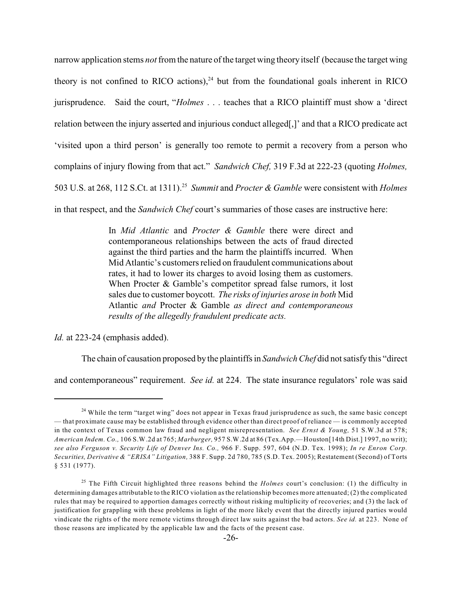narrow application stems *not* from the nature of the target wing theory itself (because the target wing theory is not confined to RICO actions), $^{24}$  but from the foundational goals inherent in RICO jurisprudence. Said the court, "*Holmes* . . . teaches that a RICO plaintiff must show a 'direct relation between the injury asserted and injurious conduct alleged[,]' and that a RICO predicate act 'visited upon a third person' is generally too remote to permit a recovery from a person who complains of injury flowing from that act." *Sandwich Chef,* 319 F.3d at 222-23 (quoting *Holmes,* 503 U.S. at 268, 112 S.Ct. at 1311). *Summit* and *Procter & Gamble* were consistent with *Holmes* <sup>25</sup> in that respect, and the *Sandwich Chef* court's summaries of those cases are instructive here:

> In *Mid Atlantic* and *Procter & Gamble* there were direct and contemporaneous relationships between the acts of fraud directed against the third parties and the harm the plaintiffs incurred. When Mid Atlantic's customers relied on fraudulent communications about rates, it had to lower its charges to avoid losing them as customers. When Procter & Gamble's competitor spread false rumors, it lost sales due to customer boycott. *The risks of injuries arose in both* Mid Atlantic *and* Procter & Gamble *as direct and contemporaneous results of the allegedly fraudulent predicate acts.*

*Id.* at 223-24 (emphasis added).

The chain of causation proposed by the plaintiffs in *Sandwich Chef* did not satisfy this "direct

and contemporaneous" requirement. *See id.* at 224. The state insurance regulators' role was said

 $24$  While the term "target wing" does not appear in Texas fraud jurisprudence as such, the same basic concept — that proximate cause may be established through evidence other than direct proof of reliance — is commonly accepted in the context of Texas common law fraud and negligent misrepresentation. *See Ernst & Young,* 51 S.W.3d at 578; *American Indem. Co.,* 106 S.W.2d at 765; *Marburger,* 957 S.W.2d at 86 (Tex.App.—Houston[14th Dist.] 1997, no writ); *see also Ferguson v. Security Life of Denver Ins. Co.,* 966 F. Supp. 597, 604 (N.D. Tex. 1998); *In re Enron Corp. Securities, Derivative & "ERISA" Litigation,* 388 F. Supp. 2d 780, 785 (S.D. Tex. 2005); Restatement (Second) of Torts § 531 (1977).

<sup>&</sup>lt;sup>25</sup> The Fifth Circuit highlighted three reasons behind the *Holmes* court's conclusion: (1) the difficulty in determining damages attributable to the RICO violation as the relationship becomes more attenuated; (2) the complicated rules that may be required to apportion damages correctly without risking multiplicity of recoveries; and (3) the lack of justification for grappling with these problems in light of the more likely event that the directly injured parties would vindicate the rights of the more remote victims through direct law suits against the bad actors. *See id.* at 223. None of those reasons are implicated by the applicable law and the facts of the present case.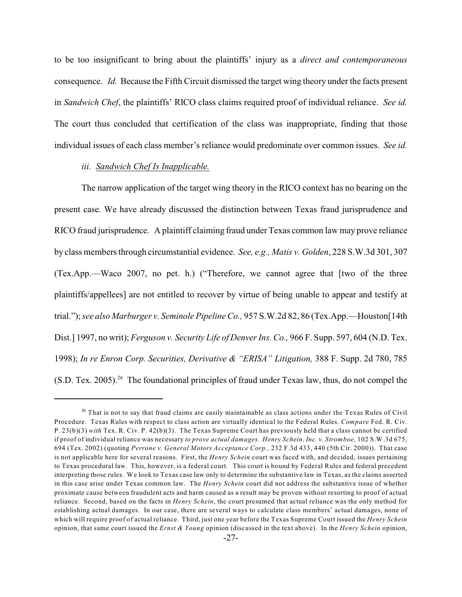to be too insignificant to bring about the plaintiffs' injury as a *direct and contemporaneous* consequence. *Id.* Because the Fifth Circuit dismissed the target wing theory under the facts present in *Sandwich Chef*, the plaintiffs' RICO class claims required proof of individual reliance. *See id.* The court thus concluded that certification of the class was inappropriate, finding that those individual issues of each class member's reliance would predominate over common issues. *See id.*

# *iii. Sandwich Chef Is Inapplicable.*

The narrow application of the target wing theory in the RICO context has no bearing on the present case. We have already discussed the distinction between Texas fraud jurisprudence and RICO fraud jurisprudence. A plaintiff claiming fraud under Texas common law may prove reliance by class members through circumstantial evidence. *See, e.g., Matis v. Golden*, 228 S.W.3d 301, 307 (Tex.App.—Waco 2007, no pet. h.) ("Therefore, we cannot agree that [two of the three plaintiffs/appellees] are not entitled to recover by virtue of being unable to appear and testify at trial.");*see also Marburger v. Seminole Pipeline Co.,* 957 S.W.2d 82, 86 (Tex.App.—Houston[14th Dist.] 1997, no writ); *Ferguson v. Security Life of Denver Ins. Co.,* 966 F. Supp. 597, 604 (N.D. Tex. 1998); *In re Enron Corp. Securities, Derivative & "ERISA" Litigation,* 388 F. Supp. 2d 780, 785  $(S.D.$  Tex. 2005).<sup>26</sup> The foundational principles of fraud under Texas law, thus, do not compel the

 $26$  That is not to say that fraud claims are easily maintainable as class actions under the Texas Rules of Civil Procedure. Texas Rules with respect to class action are virtually identical to the Federal Rules. *Compare* Fed. R. Civ. P. 23(b)(3) *with* Tex. R. Civ. P. 42(b)(3). The Texas Supreme Court has previously held that a class cannot be certified if proof of individual reliance was necessary *to prove actual damages. Henry Schein, Inc. v. Stromboe,* 102 S.W.3d 675, 694 (Tex. 2002) (quoting *Perrone v. General Motors Acceptance Corp.,* 232 F.3d 433, 440 (5th Cir. 2000)). That case is not applicable here for several reasons. First, the *Henry Schein* court was faced with, and decided, issues pertaining to Texas procedural law. This, however, is a federal court. This court is bound by Federal Rules and federal precedent interpreting those rules. We look to Texas case law only to determine the substantive law in Texas, as the claims asserted in this case arise under Texas common law. The *Henry Schein* court did not address the substantive issue of whether proximate cause between fraudulent acts and harm caused as a result may be proven without resorting to proof of actual reliance. Second, based on the facts in *Henry Schein*, the court presumed that actual reliance was the only method for establishing actual damages. In our case, there are several ways to calculate class members' actual damages, none of which will require proof of actual reliance. Third, just one year before the Texas Supreme Court issued the *Henry Schein* opinion, that same court issued the *Ernst & Young* opinion (discussed in the text above). In the *Henry Schein* opinion,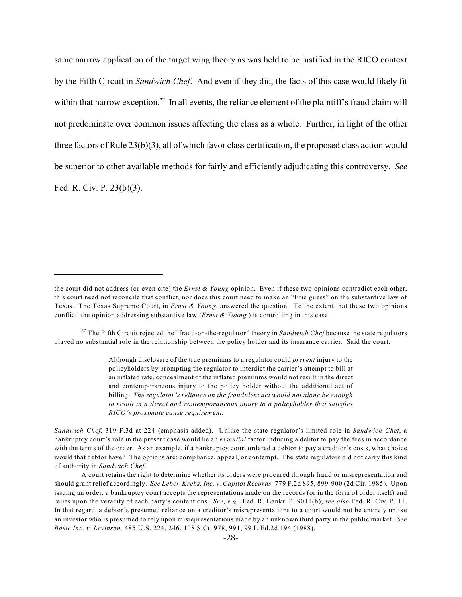same narrow application of the target wing theory as was held to be justified in the RICO context by the Fifth Circuit in *Sandwich Chef*. And even if they did, the facts of this case would likely fit within that narrow exception.<sup>27</sup> In all events, the reliance element of the plaintiff's fraud claim will not predominate over common issues affecting the class as a whole. Further, in light of the other three factors of Rule 23(b)(3), all of which favor class certification, the proposed class action would be superior to other available methods for fairly and efficiently adjudicating this controversy. *See* Fed. R. Civ. P. 23(b)(3).

Although disclosure of the true premiums to a regulator could *prevent* injury to the policyholders by prompting the regulator to interdict the carrier's attempt to bill at an inflated rate, concealment of the inflated premiums would not result in the direct and contemporaneous injury to the policy holder without the additional act of billing. *The regulator's reliance on the fraudulent act would not alone be enough to result in a direct and contemporaneous injury to a policyholder that satisfies RICO's proximate cause requirement.*

*Sandwich Chef,* 319 F.3d at 224 (emphasis added). Unlike the state regulator's limited role in *Sandwich Chef*, a bankruptcy court's role in the present case would be an *essential* factor inducing a debtor to pay the fees in accordance with the terms of the order. As an example, if a bankruptcy court ordered a debtor to pay a creditor's costs, what choice would that debtor have? The options are: compliance, appeal, or contempt. The state regulators did not carry this kind of authority in *Sandwich Chef*.

the court did not address (or even cite) the *Ernst & Young* opinion. Even if these two opinions contradict each other, this court need not reconcile that conflict, nor does this court need to make an "Erie guess" on the substantive law of Texas. The Texas Supreme Court, in *Ernst & Young*, answered the question. To the extent that these two opinions conflict, the opinion addressing substantive law (*Ernst & Young* ) is controlling in this case.

<sup>&</sup>lt;sup>27</sup> The Fifth Circuit rejected the "fraud-on-the-regulator" theory in *Sandwich Chef* because the state regulators played no substantial role in the relationship between the policy holder and its insurance carrier. Said the court:

A court retains the right to determine whether its orders were procured through fraud or misrepresentation and should grant relief accordingly. *See Leber-Krebs, Inc. v. Capitol Records,* 779 F.2d 895, 899-900 (2d Cir. 1985). Upon issuing an order, a bankruptcy court accepts the representations made on the records (or in the form of order itself) and relies upon the veracity of each party's contentions. *See, e.g.,* Fed. R. Bankr. P. 9011(b); *see also* Fed. R. Civ. P. 11. In that regard, a debtor's presumed reliance on a creditor's misrepresentations to a court would not be entirely unlike an investor who is presumed to rely upon misrepresentations made by an unknown third party in the public market. *See Basic Inc. v. Levinson,* 485 U.S. 224, 246, 108 S.Ct. 978, 991, 99 L.Ed.2d 194 (1988).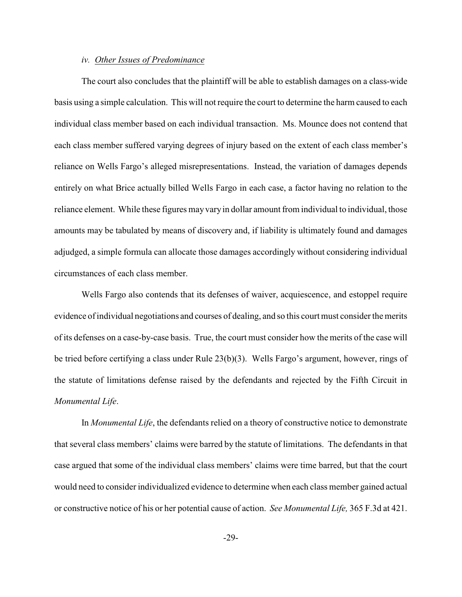### *iv. Other Issues of Predominance*

The court also concludes that the plaintiff will be able to establish damages on a class-wide basis using a simple calculation. This will not require the court to determine the harm caused to each individual class member based on each individual transaction. Ms. Mounce does not contend that each class member suffered varying degrees of injury based on the extent of each class member's reliance on Wells Fargo's alleged misrepresentations. Instead, the variation of damages depends entirely on what Brice actually billed Wells Fargo in each case, a factor having no relation to the reliance element. While these figures may vary in dollar amount from individual to individual, those amounts may be tabulated by means of discovery and, if liability is ultimately found and damages adjudged, a simple formula can allocate those damages accordingly without considering individual circumstances of each class member.

Wells Fargo also contends that its defenses of waiver, acquiescence, and estoppel require evidence ofindividual negotiations and courses of dealing, and so this court must consider the merits of its defenses on a case-by-case basis. True, the court must consider how the merits of the case will be tried before certifying a class under Rule 23(b)(3). Wells Fargo's argument, however, rings of the statute of limitations defense raised by the defendants and rejected by the Fifth Circuit in *Monumental Life*.

In *Monumental Life*, the defendants relied on a theory of constructive notice to demonstrate that several class members' claims were barred by the statute of limitations. The defendants in that case argued that some of the individual class members' claims were time barred, but that the court would need to consider individualized evidence to determine when each class member gained actual or constructive notice of his or her potential cause of action. *See Monumental Life,* 365 F.3d at 421.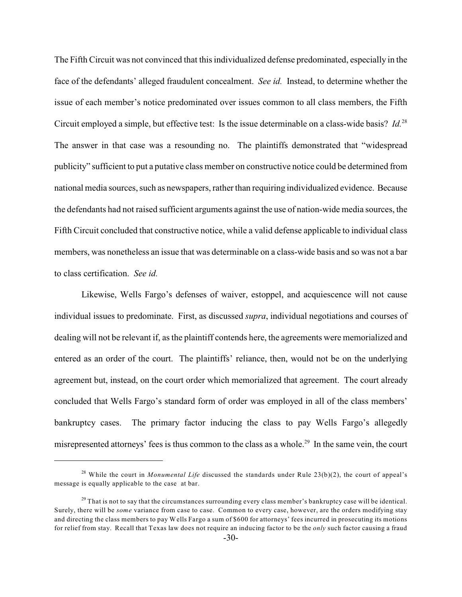The Fifth Circuit was not convinced that this individualized defense predominated, especially in the face of the defendants' alleged fraudulent concealment. *See id.* Instead, to determine whether the issue of each member's notice predominated over issues common to all class members, the Fifth Circuit employed a simple, but effective test: Is the issue determinable on a class-wide basis? *Id.*<sup>28</sup> The answer in that case was a resounding no. The plaintiffs demonstrated that "widespread publicity" sufficient to put a putative class member on constructive notice could be determined from national media sources, such as newspapers, rather than requiring individualized evidence. Because the defendants had not raised sufficient arguments against the use of nation-wide media sources, the Fifth Circuit concluded that constructive notice, while a valid defense applicable to individual class members, was nonetheless an issue that was determinable on a class-wide basis and so was not a bar to class certification. *See id.*

Likewise, Wells Fargo's defenses of waiver, estoppel, and acquiescence will not cause individual issues to predominate. First, as discussed *supra*, individual negotiations and courses of dealing will not be relevant if, as the plaintiff contends here, the agreements were memorialized and entered as an order of the court. The plaintiffs' reliance, then, would not be on the underlying agreement but, instead, on the court order which memorialized that agreement. The court already concluded that Wells Fargo's standard form of order was employed in all of the class members' bankruptcy cases. The primary factor inducing the class to pay Wells Fargo's allegedly misrepresented attorneys' fees is thus common to the class as a whole.<sup>29</sup> In the same vein, the court

<sup>&</sup>lt;sup>28</sup> While the court in *Monumental Life* discussed the standards under Rule  $23(b)(2)$ , the court of appeal's message is equally applicable to the case at bar.

 $29$  That is not to say that the circumstances surrounding every class member's bankruptcy case will be identical. Surely, there will be *some* variance from case to case. Common to every case, however, are the orders modifying stay and directing the class members to pay Wells Fargo a sum of \$600 for attorneys' fees incurred in prosecuting its motions for relief from stay. Recall that Texas law does not require an inducing factor to be the *only* such factor causing a fraud